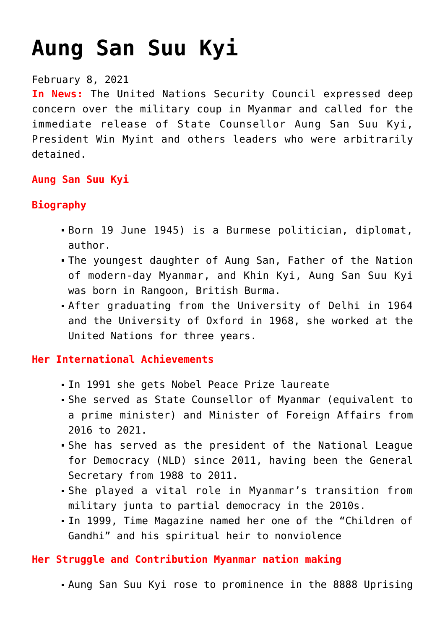# **[Aung San Suu Kyi](https://journalsofindia.com/aung-san-suu-kyi/)**

## February 8, 2021

**In News:** The United Nations Security Council expressed deep concern over the military coup in Myanmar and called for the immediate release of State Counsellor Aung San Suu Kyi, President Win Myint and others leaders who were arbitrarily detained.

## **Aung San Suu Kyi**

## **Biography**

- Born 19 June 1945) is a Burmese politician, diplomat, author.
- The youngest daughter of Aung San, Father of the Nation of modern-day Myanmar, and Khin Kyi, Aung San Suu Kyi was born in Rangoon, British Burma.
- After graduating from the University of Delhi in 1964 and the University of Oxford in 1968, she worked at the United Nations for three years.

## **Her International Achievements**

- In 1991 she gets Nobel Peace Prize laureate
- She served as State Counsellor of Myanmar (equivalent to a prime minister) and Minister of Foreign Affairs from 2016 to 2021.
- She has served as the president of the National League for Democracy (NLD) since 2011, having been the General Secretary from 1988 to 2011.
- She played a vital role in Myanmar's transition from military junta to partial democracy in the 2010s.
- In 1999, Time Magazine named her one of the "Children of Gandhi" and his spiritual heir to nonviolence

## **Her Struggle and Contribution Myanmar nation making**

Aung San Suu Kyi rose to prominence in the 8888 Uprising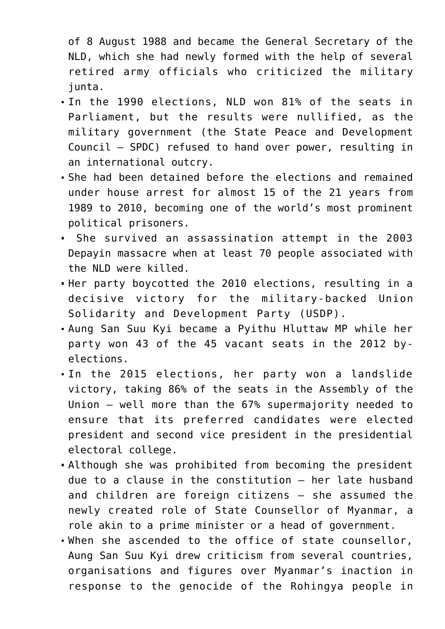of 8 August 1988 and became the General Secretary of the NLD, which she had newly formed with the help of several retired army officials who criticized the military junta.

- In the 1990 elections, NLD won 81% of the seats in Parliament, but the results were nullified, as the military government (the State Peace and Development Council – SPDC) refused to hand over power, resulting in an international outcry.
- She had been detained before the elections and remained under house arrest for almost 15 of the 21 years from 1989 to 2010, becoming one of the world's most prominent political prisoners.
- She survived an assassination attempt in the 2003 Depayin massacre when at least 70 people associated with the NLD were killed.
- Her party boycotted the 2010 elections, resulting in a decisive victory for the military-backed Union Solidarity and Development Party (USDP).
- Aung San Suu Kyi became a Pyithu Hluttaw MP while her party won 43 of the 45 vacant seats in the 2012 byelections.
- In the 2015 elections, her party won a landslide victory, taking 86% of the seats in the Assembly of the Union – well more than the 67% supermajority needed to ensure that its preferred candidates were elected president and second vice president in the presidential electoral college.
- Although she was prohibited from becoming the president due to a clause in the constitution – her late husband and children are foreign citizens – she assumed the newly created role of State Counsellor of Myanmar, a role akin to a prime minister or a head of government.
- When she ascended to the office of state counsellor, Aung San Suu Kyi drew criticism from several countries, organisations and figures over Myanmar's inaction in response to the genocide of the Rohingya people in